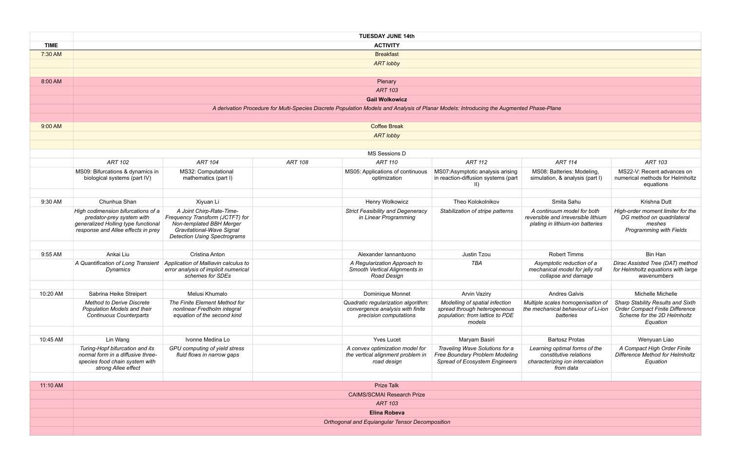S08: Batteries: Modeling, nulation, & analysis (part I) MS22-V: Recent advances on numerical methods for Helmholtz equations *Stabilization of stripe patterns A continuum model for both reversible and irreversible lithium plating in lithium-ion batteries High-order moment limiter for the DG method on quadrilateral meshes Programming with Fields TBA Asymptotic reduction of a mechanical model for jelly roll collapse and damage Dirac Assisted Tree (DAT) method for Helmholtz equations with large wavenumbers Multiple scales homogenisation of the mechanical behaviour of Li-ion batteries Sharp Stability Results and Sixth Order Compact Finite Difference Scheme for the 2D Helmholtz Equation Learning optimal forms of the constitutive relations characterizing ion intercalation from data A Compact High Order Finite Difference Method for Helmholtz Equation*

|             |                                                                                                                                              |                                                                                                                                                             |                | <b>TUESDAY JUNE 14th</b>                                                                                                                 |                                                                                                             |                                                                                                          |                                                                                               |  |
|-------------|----------------------------------------------------------------------------------------------------------------------------------------------|-------------------------------------------------------------------------------------------------------------------------------------------------------------|----------------|------------------------------------------------------------------------------------------------------------------------------------------|-------------------------------------------------------------------------------------------------------------|----------------------------------------------------------------------------------------------------------|-----------------------------------------------------------------------------------------------|--|
| <b>TIME</b> | <b>ACTIVITY</b>                                                                                                                              |                                                                                                                                                             |                |                                                                                                                                          |                                                                                                             |                                                                                                          |                                                                                               |  |
| 7:30 AM     | <b>Breakfast</b>                                                                                                                             |                                                                                                                                                             |                |                                                                                                                                          |                                                                                                             |                                                                                                          |                                                                                               |  |
|             | <b>ART lobby</b>                                                                                                                             |                                                                                                                                                             |                |                                                                                                                                          |                                                                                                             |                                                                                                          |                                                                                               |  |
|             |                                                                                                                                              |                                                                                                                                                             |                |                                                                                                                                          |                                                                                                             |                                                                                                          |                                                                                               |  |
| 8:00 AM     |                                                                                                                                              |                                                                                                                                                             |                | Plenary                                                                                                                                  |                                                                                                             |                                                                                                          |                                                                                               |  |
|             | <b>ART 103</b>                                                                                                                               |                                                                                                                                                             |                |                                                                                                                                          |                                                                                                             |                                                                                                          |                                                                                               |  |
|             |                                                                                                                                              |                                                                                                                                                             |                | <b>Gail Wolkowicz</b>                                                                                                                    |                                                                                                             |                                                                                                          |                                                                                               |  |
|             |                                                                                                                                              |                                                                                                                                                             |                | A derivation Procedure for Multi-Species Discrete Population Models and Analysis of Planar Models: Introducing the Augmented Phase-Plane |                                                                                                             |                                                                                                          |                                                                                               |  |
|             |                                                                                                                                              |                                                                                                                                                             |                |                                                                                                                                          |                                                                                                             |                                                                                                          |                                                                                               |  |
| 9:00 AM     |                                                                                                                                              |                                                                                                                                                             |                | <b>Coffee Break</b>                                                                                                                      |                                                                                                             |                                                                                                          |                                                                                               |  |
|             |                                                                                                                                              |                                                                                                                                                             |                | <b>ART lobby</b>                                                                                                                         |                                                                                                             |                                                                                                          |                                                                                               |  |
|             |                                                                                                                                              |                                                                                                                                                             |                |                                                                                                                                          |                                                                                                             |                                                                                                          |                                                                                               |  |
|             |                                                                                                                                              |                                                                                                                                                             |                | MS Sessions D                                                                                                                            |                                                                                                             |                                                                                                          |                                                                                               |  |
|             | <b>ART 102</b>                                                                                                                               | <b>ART 104</b>                                                                                                                                              | <b>ART 108</b> | ART 110                                                                                                                                  | <b>ART 112</b>                                                                                              | <b>ART 114</b>                                                                                           | <b>ART 103</b>                                                                                |  |
|             | MS09: Bifurcations & dynamics in<br>biological systems (part IV)                                                                             | MS32: Computational<br>mathematics (part I)                                                                                                                 |                | MS05: Applications of continuous<br>optimization                                                                                         | MS07:Asymptotic analysis arising<br>in reaction-diffusion systems (part<br>$\vert \vert$                    | MS08: Batteries: Modeling,<br>simulation, & analysis (part I)                                            | MS22-V: Recent advand<br>numerical methods for He<br>equations                                |  |
|             |                                                                                                                                              |                                                                                                                                                             |                |                                                                                                                                          |                                                                                                             |                                                                                                          |                                                                                               |  |
| 9:30 AM     | Chunhua Shan                                                                                                                                 | Xiyuan Li                                                                                                                                                   |                | Henry Wolkowicz                                                                                                                          | Theo Kolokolnikov                                                                                           | Smita Sahu                                                                                               | Krishna Dutt                                                                                  |  |
|             | High codimension bifurcations of a<br>predator-prey system with<br>generalized Holling type functional<br>response and Allee effects in prey | A Joint Chirp-Rate-Time-<br>Frequency Transform (JCTFT) for<br>Non-templated BBH Merger<br>Gravitational-Wave Signal<br><b>Detection Using Spectrograms</b> |                | <b>Strict Feasibility and Degeneracy</b><br>in Linear Programming                                                                        | Stabilization of stripe patterns                                                                            | A continuum model for both<br>reversible and irreversible lithium<br>plating in lithium-ion batteries    | High-order moment limiter<br>DG method on quadrila<br>meshes<br>Programming with Fie          |  |
|             |                                                                                                                                              |                                                                                                                                                             |                |                                                                                                                                          |                                                                                                             |                                                                                                          |                                                                                               |  |
| 9:55 AM     | Ankai Liu                                                                                                                                    | Cristina Anton                                                                                                                                              |                | Alexander Iannantuono                                                                                                                    | Justin Tzou                                                                                                 | <b>Robert Timms</b>                                                                                      | <b>Bin Han</b>                                                                                |  |
|             | A Quantification of Long Transient<br><b>Dynamics</b>                                                                                        | Application of Malliavin calculus to<br>error analysis of implicit numerical<br>schemes for SDEs                                                            |                | A Regularization Approach to<br>Smooth Vertical Alignments in<br>Road Design                                                             | TBA                                                                                                         | Asymptotic reduction of a<br>mechanical model for jelly roll<br>collapse and damage                      | Dirac Assisted Tree (DAT)<br>for Helmholtz equations w.<br>wavenumbers                        |  |
|             |                                                                                                                                              |                                                                                                                                                             |                |                                                                                                                                          |                                                                                                             |                                                                                                          |                                                                                               |  |
| 10:20 AM    | Sabrina Heike Streipert                                                                                                                      | Melusi Khumalo                                                                                                                                              |                | Dominique Monnet                                                                                                                         | <b>Arvin Vaziry</b>                                                                                         | <b>Andres Galvis</b>                                                                                     | Michelle Michelle                                                                             |  |
|             | <b>Method to Derive Discrete</b><br>Population Models and their<br><b>Continuous Counterparts</b>                                            | The Finite Element Method for<br>nonlinear Fredholm integral<br>equation of the second kind                                                                 |                | Quadratic regularization algorithm:<br>convergence analysis with finite<br>precision computations                                        | Modelling of spatial infection<br>spread through heterogeneous<br>population: from lattice to PDE<br>models | Multiple scales homogenisation of<br>the mechanical behaviour of Li-ion<br>batteries                     | Sharp Stability Results an<br>Order Compact Finite Diff<br>Scheme for the 2D Heln<br>Equation |  |
|             |                                                                                                                                              |                                                                                                                                                             |                |                                                                                                                                          |                                                                                                             |                                                                                                          |                                                                                               |  |
| 10:45 AM    | Lin Wang                                                                                                                                     | Ivonne Medina Lo                                                                                                                                            |                | <b>Yves Lucet</b>                                                                                                                        | Maryam Basiri                                                                                               | <b>Bartosz Protas</b>                                                                                    | Wenyuan Liao                                                                                  |  |
|             | Turing-Hopf bifurcation and its<br>normal form in a diffusive three-<br>species food chain system with<br>strong Allee effect                | GPU computing of yield stress<br>fluid flows in narrow gaps                                                                                                 |                | A convex optimization model for<br>the vertical alignment problem in<br>road design                                                      | Traveling Wave Solutions for a<br>Free Boundary Problem Modeling<br>Spread of Ecosystem Engineers           | Learning optimal forms of the<br>constitutive relations<br>characterizing ion intercalation<br>from data | A Compact High Order<br>Difference Method for Hel<br>Equation                                 |  |
|             |                                                                                                                                              |                                                                                                                                                             |                |                                                                                                                                          |                                                                                                             |                                                                                                          |                                                                                               |  |
| 11:10 AM    |                                                                                                                                              |                                                                                                                                                             |                | <b>Prize Talk</b>                                                                                                                        |                                                                                                             |                                                                                                          |                                                                                               |  |
|             |                                                                                                                                              |                                                                                                                                                             |                | <b>CAIMS/SCMAI Research Prize</b>                                                                                                        |                                                                                                             |                                                                                                          |                                                                                               |  |
|             | <b>ART 103</b>                                                                                                                               |                                                                                                                                                             |                |                                                                                                                                          |                                                                                                             |                                                                                                          |                                                                                               |  |
|             | <b>Elina Robeva</b>                                                                                                                          |                                                                                                                                                             |                |                                                                                                                                          |                                                                                                             |                                                                                                          |                                                                                               |  |
|             |                                                                                                                                              |                                                                                                                                                             |                | Orthogonal and Equiangular Tensor Decomposition                                                                                          |                                                                                                             |                                                                                                          |                                                                                               |  |
|             |                                                                                                                                              |                                                                                                                                                             |                |                                                                                                                                          |                                                                                                             |                                                                                                          |                                                                                               |  |